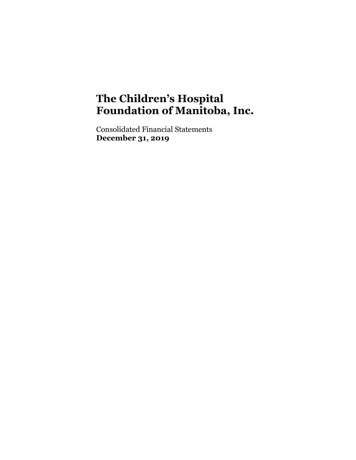Consolidated Financial Statements **December 31, 2019**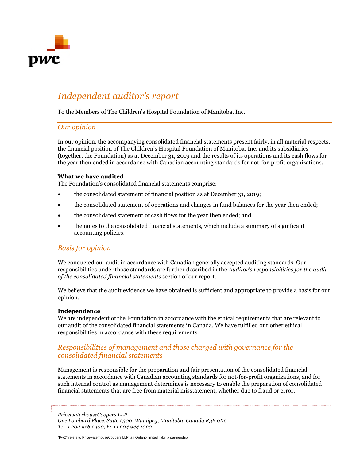

# *Independent auditor's report*

To the Members of The Children's Hospital Foundation of Manitoba, Inc.

#### *Our opinion*

In our opinion, the accompanying consolidated financial statements present fairly, in all material respects, the financial position of The Children's Hospital Foundation of Manitoba, Inc. and its subsidiaries (together, the Foundation) as at December 31, 2019 and the results of its operations and its cash flows for the year then ended in accordance with Canadian accounting standards for not-for-profit organizations.

#### **What we have audited**

The Foundation's consolidated financial statements comprise:

- the consolidated statement of financial position as at December 31, 2019;
- the consolidated statement of operations and changes in fund balances for the year then ended;
- the consolidated statement of cash flows for the year then ended; and
- the notes to the consolidated financial statements, which include a summary of significant accounting policies.

### *Basis for opinion*

We conducted our audit in accordance with Canadian generally accepted auditing standards. Our responsibilities under those standards are further described in the *Auditor's responsibilities for the audit of the consolidated financial statements* section of our report.

We believe that the audit evidence we have obtained is sufficient and appropriate to provide a basis for our opinion.

#### **Independence**

We are independent of the Foundation in accordance with the ethical requirements that are relevant to our audit of the consolidated financial statements in Canada. We have fulfilled our other ethical responsibilities in accordance with these requirements.

### *Responsibilities of management and those charged with governance for the consolidated financial statements*

Management is responsible for the preparation and fair presentation of the consolidated financial statements in accordance with Canadian accounting standards for not-for-profit organizations, and for such internal control as management determines is necessary to enable the preparation of consolidated financial statements that are free from material misstatement, whether due to fraud or error.

*PricewaterhouseCoopers LLP One Lombard Place, Suite 2300, Winnipeg, Manitoba, Canada R3B 0X6 T: +1 204 926 2400, F: +1 204 944 1020* 

"PwC" refers to PricewaterhouseCoopers LLP, an Ontario limited liability partnership.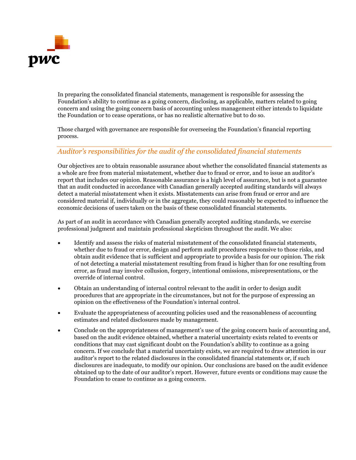

In preparing the consolidated financial statements, management is responsible for assessing the Foundation's ability to continue as a going concern, disclosing, as applicable, matters related to going concern and using the going concern basis of accounting unless management either intends to liquidate the Foundation or to cease operations, or has no realistic alternative but to do so.

Those charged with governance are responsible for overseeing the Foundation's financial reporting process.

### *Auditor's responsibilities for the audit of the consolidated financial statements*

Our objectives are to obtain reasonable assurance about whether the consolidated financial statements as a whole are free from material misstatement, whether due to fraud or error, and to issue an auditor's report that includes our opinion. Reasonable assurance is a high level of assurance, but is not a guarantee that an audit conducted in accordance with Canadian generally accepted auditing standards will always detect a material misstatement when it exists. Misstatements can arise from fraud or error and are considered material if, individually or in the aggregate, they could reasonably be expected to influence the economic decisions of users taken on the basis of these consolidated financial statements.

As part of an audit in accordance with Canadian generally accepted auditing standards, we exercise professional judgment and maintain professional skepticism throughout the audit. We also:

- Identify and assess the risks of material misstatement of the consolidated financial statements, whether due to fraud or error, design and perform audit procedures responsive to those risks, and obtain audit evidence that is sufficient and appropriate to provide a basis for our opinion. The risk of not detecting a material misstatement resulting from fraud is higher than for one resulting from error, as fraud may involve collusion, forgery, intentional omissions, misrepresentations, or the override of internal control.
- Obtain an understanding of internal control relevant to the audit in order to design audit procedures that are appropriate in the circumstances, but not for the purpose of expressing an opinion on the effectiveness of the Foundation's internal control.
- Evaluate the appropriateness of accounting policies used and the reasonableness of accounting estimates and related disclosures made by management.
- Conclude on the appropriateness of management's use of the going concern basis of accounting and, based on the audit evidence obtained, whether a material uncertainty exists related to events or conditions that may cast significant doubt on the Foundation's ability to continue as a going concern. If we conclude that a material uncertainty exists, we are required to draw attention in our auditor's report to the related disclosures in the consolidated financial statements or, if such disclosures are inadequate, to modify our opinion. Our conclusions are based on the audit evidence obtained up to the date of our auditor's report. However, future events or conditions may cause the Foundation to cease to continue as a going concern.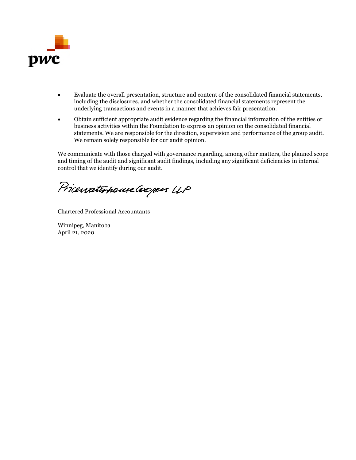

- Evaluate the overall presentation, structure and content of the consolidated financial statements, including the disclosures, and whether the consolidated financial statements represent the underlying transactions and events in a manner that achieves fair presentation.
- Obtain sufficient appropriate audit evidence regarding the financial information of the entities or business activities within the Foundation to express an opinion on the consolidated financial statements. We are responsible for the direction, supervision and performance of the group audit. We remain solely responsible for our audit opinion.

We communicate with those charged with governance regarding, among other matters, the planned scope and timing of the audit and significant audit findings, including any significant deficiencies in internal control that we identify during our audit.

PricewaterhouseCoopers LLP

Chartered Professional Accountants

Winnipeg, Manitoba April 21, 2020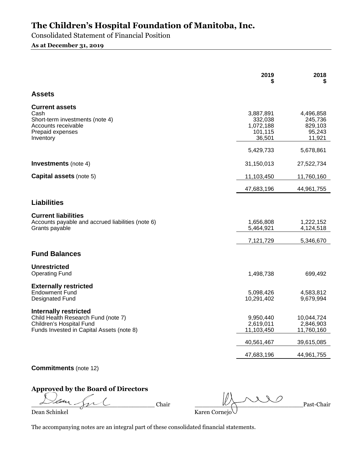Consolidated Statement of Financial Position

### **As at December 31, 2019**

|                                                                                                                                              | 2019                                                   | 2018<br>S                                           |
|----------------------------------------------------------------------------------------------------------------------------------------------|--------------------------------------------------------|-----------------------------------------------------|
| <b>Assets</b>                                                                                                                                |                                                        |                                                     |
| <b>Current assets</b><br>Cash<br>Short-term investments (note 4)<br>Accounts receivable<br>Prepaid expenses<br>Inventory                     | 3,887,891<br>332,038<br>1,072,188<br>101,115<br>36,501 | 4,496,858<br>245,736<br>829,103<br>95,243<br>11,921 |
|                                                                                                                                              | 5,429,733                                              | 5,678,861                                           |
| <b>Investments</b> (note 4)                                                                                                                  | 31,150,013                                             | 27,522,734                                          |
| Capital assets (note 5)                                                                                                                      | 11,103,450                                             | 11,760,160                                          |
|                                                                                                                                              | 47,683,196                                             | 44,961,755                                          |
| <b>Liabilities</b>                                                                                                                           |                                                        |                                                     |
| <b>Current liabilities</b><br>Accounts payable and accrued liabilities (note 6)<br>Grants payable                                            | 1,656,808<br>5,464,921                                 | 1,222,152<br>4,124,518                              |
|                                                                                                                                              | 7,121,729                                              | 5,346,670                                           |
| <b>Fund Balances</b>                                                                                                                         |                                                        |                                                     |
| <b>Unrestricted</b><br><b>Operating Fund</b>                                                                                                 | 1,498,738                                              | 699,492                                             |
| <b>Externally restricted</b><br><b>Endowment Fund</b><br><b>Designated Fund</b>                                                              | 5,098,426<br>10,291,402                                | 4,583,812<br>9,679,994                              |
| <b>Internally restricted</b><br>Child Health Research Fund (note 7)<br>Children's Hospital Fund<br>Funds Invested in Capital Assets (note 8) | 9,950,440<br>2,619,011<br>11,103,450                   | 10,044,724<br>2,846,903<br>11,760,160               |
|                                                                                                                                              | 40,561,467                                             | 39,615,085                                          |
|                                                                                                                                              | 47,683,196                                             | 44,961,755                                          |

**Commitments** (note 12)

### **Approved by the Board of Directors**

 $\bigcup_{\mathcal{U}} \bigcup_{\mathcal{U}} \bigcup_{\mathcal{U}} \bigcup_{\mathcal{U}}$  Chair  $\bigcup_{\mathcal{U}} \bigcup_{\mathcal{U}} \bigcup_{\mathcal{U}} \bigcup_{\mathcal{U}} \bigcup_{\mathcal{U}} \bigcap_{\mathcal{U}} \mathcal{U}$  $\frac{L \times \mathcal{L}}{\text{Dean Schinkel}}$  Chair  $\frac{L}{\text{Karen Cornejo}}$ 

The accompanying notes are an integral part of these consolidated financial statements.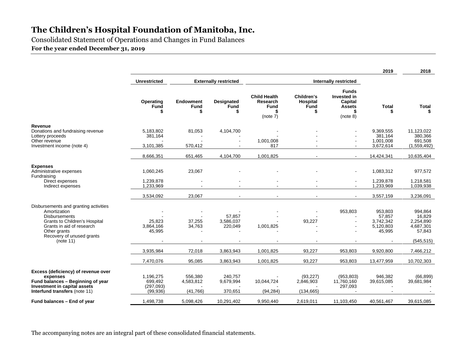Consolidated Statement of Operations and Changes in Fund Balances

**For the year ended December 31, 2019** 

| <b>Externally restricted</b><br><b>Unrestricted</b><br><b>Internally restricted</b><br><b>Funds</b><br><b>Child Health</b><br>Children's<br>Invested in<br><b>Endowment</b><br>Operating<br><b>Designated</b><br>Research<br>Hospital<br>Capital<br><b>Fund</b><br><b>Fund</b><br>Fund<br>Fund<br><b>Fund</b><br><b>Assets</b><br><b>Total</b><br>Total<br>\$<br>(note 7)<br>(note 8)<br>Revenue<br>Donations and fundraising revenue<br>5,183,802<br>81,053<br>4,104,700<br>9,369,555<br>11,123,022<br>Lottery proceeds<br>381.164<br>381.164<br>380,366<br>Other revenue<br>1,001,008<br>1,001,008<br>691,508<br>Investment income (note 4)<br>3,101,385<br>817<br>3,672,614<br>(1,559,492)<br>570,412<br>8,666,351<br>4,104,700<br>1,001,825<br>14,424,341<br>10,635,404<br>651,465<br>$\sim$<br><b>Expenses</b><br>1,060,245<br>23,067<br>1,083,312<br>977,572<br>Administrative expenses<br>$\blacksquare$<br>Fundraising<br>1,218,581<br>Direct expenses<br>1,239,878<br>1,239,878<br>$\overline{\phantom{a}}$<br>1,233,969<br>1,233,969<br>1,039,938<br>Indirect expenses<br>$\blacksquare$<br>3,534,092<br>23,067<br>3,557,159<br>3,236,091<br>Disbursements and granting activities<br>953,803<br>Amortization<br>953,803<br>994,864<br>57,857<br>16,829<br><b>Disbursements</b><br>57,857<br>$\sim$<br>93,227<br>Grants to Children's Hospital<br>25,823<br>37,255<br>3,586,037<br>3,742,342<br>2,254,890<br>Grants in aid of research<br>1,001,825<br>5,120,803<br>4,687,301<br>3.864.166<br>34,763<br>220,049<br>Other grants<br>45,995<br>45,995<br>57,843<br>Recovery of unused grants<br>(545, 515)<br>(note 11)<br>3,935,984<br>72,018<br>3,863,943<br>1,001,825<br>93,227<br>953,803<br>9,920,800<br>7,466,212<br>7,470,076<br>95,085<br>3,863,943<br>1,001,825<br>93,227<br>953,803<br>13,477,959<br>10,702,303<br>Excess (deficiency) of revenue over<br>1,196,275<br>556,380<br>240,757<br>(93, 227)<br>(953, 803)<br>946,382<br>(66, 899)<br>expenses<br>Fund balances - Beginning of year<br>699,492<br>9,679,994<br>10,044,724<br>11,760,160<br>39,615,085<br>4,583,812<br>2,846,903<br>39,681,984<br>Investment in capital assets<br>(297, 093)<br>297,093<br>Interfund transfers (note 11)<br>(99, 936)<br>370,651<br>(94, 284)<br>(41,766)<br>(134, 665) |                             |           |           |            |           |           |            | 2019       | 2018       |
|------------------------------------------------------------------------------------------------------------------------------------------------------------------------------------------------------------------------------------------------------------------------------------------------------------------------------------------------------------------------------------------------------------------------------------------------------------------------------------------------------------------------------------------------------------------------------------------------------------------------------------------------------------------------------------------------------------------------------------------------------------------------------------------------------------------------------------------------------------------------------------------------------------------------------------------------------------------------------------------------------------------------------------------------------------------------------------------------------------------------------------------------------------------------------------------------------------------------------------------------------------------------------------------------------------------------------------------------------------------------------------------------------------------------------------------------------------------------------------------------------------------------------------------------------------------------------------------------------------------------------------------------------------------------------------------------------------------------------------------------------------------------------------------------------------------------------------------------------------------------------------------------------------------------------------------------------------------------------------------------------------------------------------------------------------------------------------------------------------------------------------------------------------------------------------------------------------------------------------------------------------------------------------|-----------------------------|-----------|-----------|------------|-----------|-----------|------------|------------|------------|
|                                                                                                                                                                                                                                                                                                                                                                                                                                                                                                                                                                                                                                                                                                                                                                                                                                                                                                                                                                                                                                                                                                                                                                                                                                                                                                                                                                                                                                                                                                                                                                                                                                                                                                                                                                                                                                                                                                                                                                                                                                                                                                                                                                                                                                                                                    |                             |           |           |            |           |           |            |            |            |
|                                                                                                                                                                                                                                                                                                                                                                                                                                                                                                                                                                                                                                                                                                                                                                                                                                                                                                                                                                                                                                                                                                                                                                                                                                                                                                                                                                                                                                                                                                                                                                                                                                                                                                                                                                                                                                                                                                                                                                                                                                                                                                                                                                                                                                                                                    |                             |           |           |            |           |           |            |            |            |
|                                                                                                                                                                                                                                                                                                                                                                                                                                                                                                                                                                                                                                                                                                                                                                                                                                                                                                                                                                                                                                                                                                                                                                                                                                                                                                                                                                                                                                                                                                                                                                                                                                                                                                                                                                                                                                                                                                                                                                                                                                                                                                                                                                                                                                                                                    |                             |           |           |            |           |           |            |            |            |
|                                                                                                                                                                                                                                                                                                                                                                                                                                                                                                                                                                                                                                                                                                                                                                                                                                                                                                                                                                                                                                                                                                                                                                                                                                                                                                                                                                                                                                                                                                                                                                                                                                                                                                                                                                                                                                                                                                                                                                                                                                                                                                                                                                                                                                                                                    |                             |           |           |            |           |           |            |            |            |
|                                                                                                                                                                                                                                                                                                                                                                                                                                                                                                                                                                                                                                                                                                                                                                                                                                                                                                                                                                                                                                                                                                                                                                                                                                                                                                                                                                                                                                                                                                                                                                                                                                                                                                                                                                                                                                                                                                                                                                                                                                                                                                                                                                                                                                                                                    |                             |           |           |            |           |           |            |            |            |
|                                                                                                                                                                                                                                                                                                                                                                                                                                                                                                                                                                                                                                                                                                                                                                                                                                                                                                                                                                                                                                                                                                                                                                                                                                                                                                                                                                                                                                                                                                                                                                                                                                                                                                                                                                                                                                                                                                                                                                                                                                                                                                                                                                                                                                                                                    |                             |           |           |            |           |           |            |            |            |
|                                                                                                                                                                                                                                                                                                                                                                                                                                                                                                                                                                                                                                                                                                                                                                                                                                                                                                                                                                                                                                                                                                                                                                                                                                                                                                                                                                                                                                                                                                                                                                                                                                                                                                                                                                                                                                                                                                                                                                                                                                                                                                                                                                                                                                                                                    |                             |           |           |            |           |           |            |            |            |
|                                                                                                                                                                                                                                                                                                                                                                                                                                                                                                                                                                                                                                                                                                                                                                                                                                                                                                                                                                                                                                                                                                                                                                                                                                                                                                                                                                                                                                                                                                                                                                                                                                                                                                                                                                                                                                                                                                                                                                                                                                                                                                                                                                                                                                                                                    |                             |           |           |            |           |           |            |            |            |
|                                                                                                                                                                                                                                                                                                                                                                                                                                                                                                                                                                                                                                                                                                                                                                                                                                                                                                                                                                                                                                                                                                                                                                                                                                                                                                                                                                                                                                                                                                                                                                                                                                                                                                                                                                                                                                                                                                                                                                                                                                                                                                                                                                                                                                                                                    |                             |           |           |            |           |           |            |            |            |
|                                                                                                                                                                                                                                                                                                                                                                                                                                                                                                                                                                                                                                                                                                                                                                                                                                                                                                                                                                                                                                                                                                                                                                                                                                                                                                                                                                                                                                                                                                                                                                                                                                                                                                                                                                                                                                                                                                                                                                                                                                                                                                                                                                                                                                                                                    |                             |           |           |            |           |           |            |            |            |
|                                                                                                                                                                                                                                                                                                                                                                                                                                                                                                                                                                                                                                                                                                                                                                                                                                                                                                                                                                                                                                                                                                                                                                                                                                                                                                                                                                                                                                                                                                                                                                                                                                                                                                                                                                                                                                                                                                                                                                                                                                                                                                                                                                                                                                                                                    | Fund balances - End of year | 1,498,738 | 5,098,426 | 10,291,402 | 9,950,440 | 2,619,011 | 11,103,450 | 40,561,467 | 39,615,085 |

The accompanying notes are an integral part of these consolidated financial statements.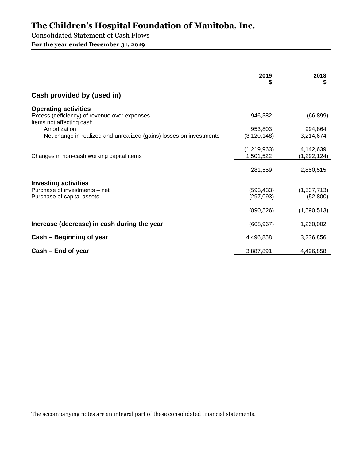Consolidated Statement of Cash Flows

**For the year ended December 31, 2019** 

|                                                                                                         | 2019<br>S                | 2018<br>S                  |
|---------------------------------------------------------------------------------------------------------|--------------------------|----------------------------|
| Cash provided by (used in)                                                                              |                          |                            |
| <b>Operating activities</b><br>Excess (deficiency) of revenue over expenses<br>Items not affecting cash | 946,382                  | (66, 899)                  |
| Amortization<br>Net change in realized and unrealized (gains) losses on investments                     | 953,803<br>(3, 120, 148) | 994,864<br>3,214,674       |
| Changes in non-cash working capital items                                                               | (1,219,963)<br>1,501,522 | 4,142,639<br>(1, 292, 124) |
|                                                                                                         | 281,559                  | 2,850,515                  |
| <b>Investing activities</b><br>Purchase of investments – net<br>Purchase of capital assets              | (593, 433)<br>(297,093)  | (1,537,713)<br>(52, 800)   |
|                                                                                                         | (890, 526)               | (1,590,513)                |
| Increase (decrease) in cash during the year                                                             | (608, 967)               | 1,260,002                  |
| Cash – Beginning of year                                                                                | 4,496,858                | 3,236,856                  |
| Cash – End of year                                                                                      | 3,887,891                | 4,496,858                  |

The accompanying notes are an integral part of these consolidated financial statements.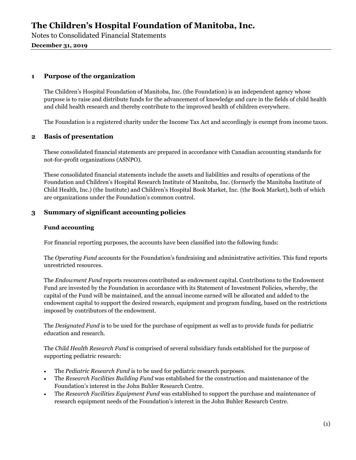Notes to Consolidated Financial Statements

**December 31, 2019**

### **1 Purpose of the organization**

The Children's Hospital Foundation of Manitoba, Inc. (the Foundation) is an independent agency whose purpose is to raise and distribute funds for the advancement of knowledge and care in the fields of child health and child health research and thereby contribute to the improved health of children everywhere.

The Foundation is a registered charity under the Income Tax Act and accordingly is exempt from income taxes.

### **2 Basis of presentation**

These consolidated financial statements are prepared in accordance with Canadian accounting standards for not-for-profit organizations (ASNPO).

These consolidated financial statements include the assets and liabilities and results of operations of the Foundation and Children's Hospital Research Institute of Manitoba, Inc. (formerly the Manitoba Institute of Child Health, Inc.) (the Institute) and Children's Hospital Book Market, Inc. (the Book Market), both of which are organizations under the Foundation's common control.

### **3 Summary of significant accounting policies**

### **Fund accounting**

For financial reporting purposes, the accounts have been classified into the following funds:

The *Operating Fund* accounts for the Foundation's fundraising and administrative activities. This fund reports unrestricted resources.

The *Endowment Fund* reports resources contributed as endowment capital. Contributions to the Endowment Fund are invested by the Foundation in accordance with its Statement of Investment Policies, whereby, the capital of the Fund will be maintained, and the annual income earned will be allocated and added to the endowment capital to support the desired research, equipment and program funding, based on the restrictions imposed by contributors of the endowment.

The *Designated Fund* is to be used for the purchase of equipment as well as to provide funds for pediatric education and research.

The *Child Health Research Fund* is comprised of several subsidiary funds established for the purpose of supporting pediatric research:

- The *Pediatric Research Fund* is to be used for pediatric research purposes.
- The *Research Facilities Building Fund* was established for the construction and maintenance of the Foundation's interest in the John Buhler Research Centre.
- The *Research Facilities Equipment Fund* was established to support the purchase and maintenance of research equipment needs of the Foundation's interest in the John Buhler Research Centre.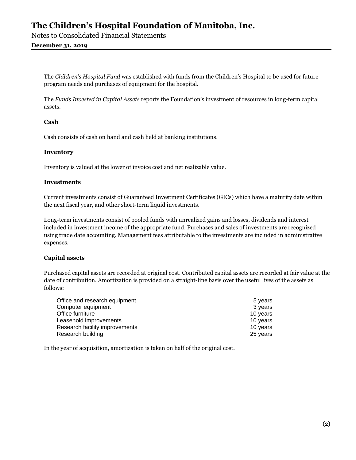Notes to Consolidated Financial Statements

### **December 31, 2019**

The *Children's Hospital Fund* was established with funds from the Children's Hospital to be used for future program needs and purchases of equipment for the hospital.

The *Funds Invested in Capital Assets* reports the Foundation's investment of resources in long-term capital assets.

### **Cash**

Cash consists of cash on hand and cash held at banking institutions.

#### **Inventory**

Inventory is valued at the lower of invoice cost and net realizable value.

#### **Investments**

Current investments consist of Guaranteed Investment Certificates (GICs) which have a maturity date within the next fiscal year, and other short-term liquid investments.

Long-term investments consist of pooled funds with unrealized gains and losses, dividends and interest included in investment income of the appropriate fund. Purchases and sales of investments are recognized using trade date accounting. Management fees attributable to the investments are included in administrative expenses.

### **Capital assets**

Purchased capital assets are recorded at original cost. Contributed capital assets are recorded at fair value at the date of contribution. Amortization is provided on a straight-line basis over the useful lives of the assets as follows:

| Office and research equipment  | 5 years  |
|--------------------------------|----------|
| Computer equipment             | 3 years  |
| Office furniture               | 10 years |
| Leasehold improvements         | 10 years |
| Research facility improvements | 10 years |
| Research building              | 25 years |

In the year of acquisition, amortization is taken on half of the original cost.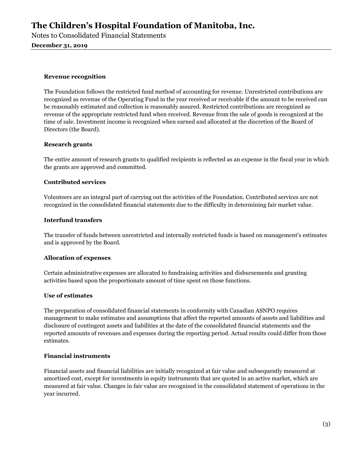Notes to Consolidated Financial Statements

**December 31, 2019**

### **Revenue recognition**

The Foundation follows the restricted fund method of accounting for revenue. Unrestricted contributions are recognized as revenue of the Operating Fund in the year received or receivable if the amount to be received can be reasonably estimated and collection is reasonably assured. Restricted contributions are recognized as revenue of the appropriate restricted fund when received. Revenue from the sale of goods is recognized at the time of sale. Investment income is recognized when earned and allocated at the discretion of the Board of Directors (the Board).

### **Research grants**

The entire amount of research grants to qualified recipients is reflected as an expense in the fiscal year in which the grants are approved and committed.

### **Contributed services**

Volunteers are an integral part of carrying out the activities of the Foundation. Contributed services are not recognized in the consolidated financial statements due to the difficulty in determining fair market value.

### **Interfund transfers**

The transfer of funds between unrestricted and internally restricted funds is based on management's estimates and is approved by the Board.

### **Allocation of expenses**

Certain administrative expenses are allocated to fundraising activities and disbursements and granting activities based upon the proportionate amount of time spent on those functions.

### **Use of estimates**

The preparation of consolidated financial statements in conformity with Canadian ASNPO requires management to make estimates and assumptions that affect the reported amounts of assets and liabilities and disclosure of contingent assets and liabilities at the date of the consolidated financial statements and the reported amounts of revenues and expenses during the reporting period. Actual results could differ from those estimates.

### **Financial instruments**

Financial assets and financial liabilities are initially recognized at fair value and subsequently measured at amortized cost, except for investments in equity instruments that are quoted in an active market, which are measured at fair value. Changes in fair value are recognized in the consolidated statement of operations in the year incurred.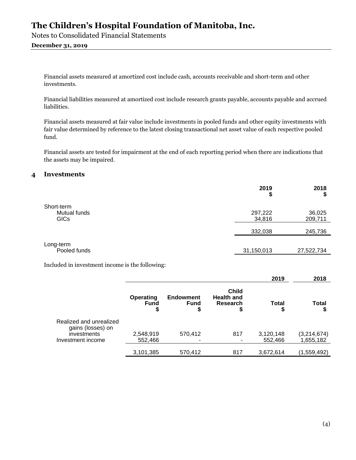Notes to Consolidated Financial Statements

### **December 31, 2019**

Financial assets measured at amortized cost include cash, accounts receivable and short-term and other investments.

Financial liabilities measured at amortized cost include research grants payable, accounts payable and accrued liabilities.

Financial assets measured at fair value include investments in pooled funds and other equity investments with fair value determined by reference to the latest closing transactional net asset value of each respective pooled fund.

Financial assets are tested for impairment at the end of each reporting period when there are indications that the assets may be impaired.

### **4 Investments**

|              | 2019<br>Φ  | 2018<br>\$ |
|--------------|------------|------------|
| Short-term   |            |            |
| Mutual funds | 297,222    | 36,025     |
| <b>GICs</b>  | 34,816     | 209,711    |
|              | 332,038    | 245,736    |
| Long-term    |            |            |
| Pooled funds | 31,150,013 | 27,522,734 |
|              |            |            |

Included in investment income is the following:

|                                              |                                |                                       |                                                            | 2019               | 2018         |
|----------------------------------------------|--------------------------------|---------------------------------------|------------------------------------------------------------|--------------------|--------------|
|                                              | <b>Operating</b><br>Fund<br>\$ | <b>Endowment</b><br><b>Fund</b><br>\$ | <b>Child</b><br><b>Health and</b><br><b>Research</b><br>\$ | <b>Total</b><br>\$ | <b>Total</b> |
| Realized and unrealized<br>gains (losses) on |                                |                                       |                                                            |                    |              |
| investments                                  | 2,548,919                      | 570,412                               | 817                                                        | 3,120,148          | (3,214,674)  |
| Investment income                            | 552,466                        |                                       |                                                            | 552,466            | 1,655,182    |
|                                              | 3,101,385                      | 570,412                               | 817                                                        | 3,672,614          | (1,559,492)  |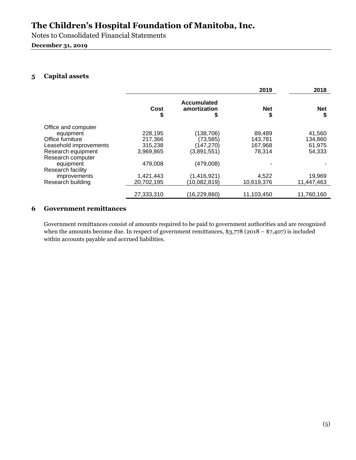Notes to Consolidated Financial Statements

### **December 31, 2019**

### **5 Capital assets**

|                                         |            |                                   | 2019             | 2018             |
|-----------------------------------------|------------|-----------------------------------|------------------|------------------|
|                                         | Cost<br>\$ | Accumulated<br>amortization<br>\$ | <b>Net</b><br>\$ | <b>Net</b><br>\$ |
| Office and computer                     |            |                                   |                  |                  |
| equipment                               | 228,195    | (138,706)                         | 89,489           | 41,560           |
| Office furniture                        | 217,366    | (73,585)                          | 143,781          | 134,860          |
| Leasehold improvements                  | 315,238    | (147,270)                         | 167,968          | 61,975           |
| Research equipment<br>Research computer | 3,969,865  | (3,891,551)                       | 78,314           | 54,333           |
| equipment                               | 479,008    | (479,008)                         |                  |                  |
| Research facility                       |            |                                   |                  |                  |
| <i>improvements</i>                     | 1,421,443  | (1, 416, 921)                     | 4,522            | 19,969           |
| Research building                       | 20,702,195 | (10,082,819)                      | 10,619,376       | 11,447,463       |
|                                         | 27,333,310 | (16,229,860)                      | 11,103,450       | 11,760,160       |

### **6 Government remittances**

Government remittances consist of amounts required to be paid to government authorities and are recognized when the amounts become due. In respect of government remittances, \$3,778 (2018 – \$7,407) is included within accounts payable and accrued liabilities.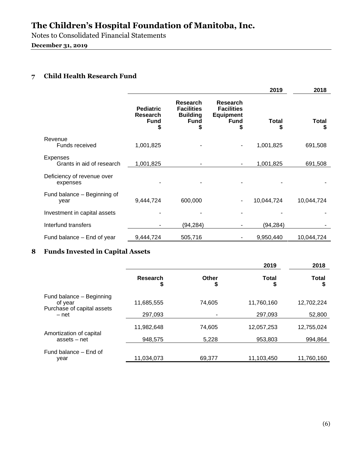Notes to Consolidated Financial Statements

### **December 31, 2019**

### **7 Child Health Research Fund**

|                                        |                                                          |                                                                        |                                                                              | 2019              | 2018              |
|----------------------------------------|----------------------------------------------------------|------------------------------------------------------------------------|------------------------------------------------------------------------------|-------------------|-------------------|
|                                        | <b>Pediatric</b><br><b>Research</b><br><b>Fund</b><br>\$ | <b>Research</b><br><b>Facilities</b><br><b>Building</b><br><b>Fund</b> | <b>Research</b><br><b>Facilities</b><br><b>Equipment</b><br><b>Fund</b><br>S | <b>Total</b><br>5 | <b>Total</b><br>S |
| Revenue<br>Funds received              | 1,001,825                                                |                                                                        |                                                                              | 1,001,825         | 691,508           |
| Expenses<br>Grants in aid of research  | 1,001,825                                                |                                                                        |                                                                              | 1,001,825         | 691,508           |
| Deficiency of revenue over<br>expenses |                                                          |                                                                        |                                                                              |                   |                   |
| Fund balance - Beginning of<br>year    | 9,444,724                                                | 600,000                                                                |                                                                              | 10,044,724        | 10,044,724        |
| Investment in capital assets           |                                                          |                                                                        |                                                                              |                   |                   |
| Interfund transfers                    |                                                          | (94,284)                                                               |                                                                              | (94,284)          |                   |
| Fund balance – End of year             | 9,444,724                                                | 505,716                                                                |                                                                              | 9,950,440         | 10,044,724        |

### **8 Funds Invested in Capital Assets**

|                                                                   |                |             | 2019               | 2018              |
|-------------------------------------------------------------------|----------------|-------------|--------------------|-------------------|
|                                                                   | Research<br>\$ | Other<br>\$ | <b>Total</b><br>\$ | <b>Total</b><br>S |
| Fund balance - Beginning<br>of year<br>Purchase of capital assets | 11,685,555     | 74,605      | 11,760,160         | 12,702,224        |
| – net                                                             | 297,093        |             | 297,093            | 52,800            |
| Amortization of capital                                           | 11,982,648     | 74,605      | 12,057,253         | 12,755,024        |
| $assets - net$                                                    | 948,575        | 5,228       | 953,803            | 994,864           |
| Fund balance – End of                                             |                |             |                    |                   |
| year                                                              | 11,034,073     | 69,377      | 11,103,450         | 11,760,160        |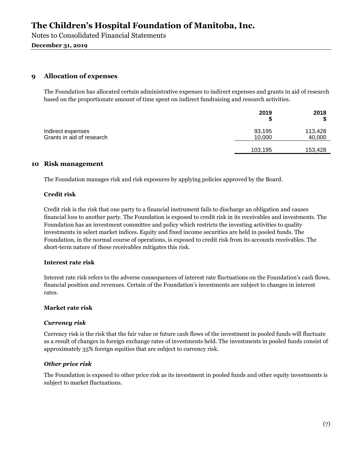Notes to Consolidated Financial Statements

**December 31, 2019**

### **9 Allocation of expenses**

The Foundation has allocated certain administrative expenses to indirect expenses and grants in aid of research based on the proportionate amount of time spent on indirect fundraising and research activities.

|                                                | 2019             | 2018              |
|------------------------------------------------|------------------|-------------------|
| Indirect expenses<br>Grants in aid of research | 93,195<br>10.000 | 113,428<br>40,000 |
|                                                | 103,195          | 153,428           |

### **10 Risk management**

The Foundation manages risk and risk exposures by applying policies approved by the Board.

#### **Credit risk**

Credit risk is the risk that one party to a financial instrument fails to discharge an obligation and causes financial loss to another party. The Foundation is exposed to credit risk in its receivables and investments. The Foundation has an investment committee and policy which restricts the investing activities to quality investments in select market indices. Equity and fixed income securities are held in pooled funds. The Foundation, in the normal course of operations, is exposed to credit risk from its accounts receivables. The short-term nature of these receivables mitigates this risk.

### **Interest rate risk**

Interest rate risk refers to the adverse consequences of interest rate fluctuations on the Foundation's cash flows, financial position and revenues. Certain of the Foundation's investments are subject to changes in interest rates.

#### **Market rate risk**

### *Currency risk*

Currency risk is the risk that the fair value or future cash flows of the investment in pooled funds will fluctuate as a result of changes in foreign exchange rates of investments held. The investments in pooled funds consist of approximately 35% foreign equities that are subject to currency risk.

### *Other price risk*

The Foundation is exposed to other price risk as its investment in pooled funds and other equity investments is subject to market fluctuations.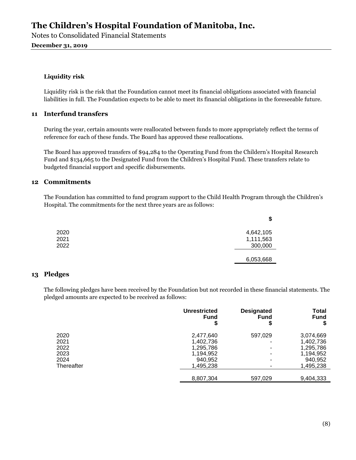Notes to Consolidated Financial Statements

**December 31, 2019**

### **Liquidity risk**

Liquidity risk is the risk that the Foundation cannot meet its financial obligations associated with financial liabilities in full. The Foundation expects to be able to meet its financial obligations in the foreseeable future.

### **11 Interfund transfers**

During the year, certain amounts were reallocated between funds to more appropriately reflect the terms of reference for each of these funds. The Board has approved these reallocations.

The Board has approved transfers of \$94,284 to the Operating Fund from the Childern's Hospital Research Fund and \$134,665 to the Designated Fund from the Children's Hospital Fund. These transfers relate to budgeted financial support and specific disbursements.

### **12 Commitments**

The Foundation has committed to fund program support to the Child Health Program through the Children's Hospital. The commitments for the next three years are as follows:

|      | \$        |
|------|-----------|
| 2020 | 4,642,105 |
| 2021 | 1,111,563 |
| 2022 | 300,000   |
|      | 6,053,668 |

### **13 Pledges**

The following pledges have been received by the Foundation but not recorded in these financial statements. The pledged amounts are expected to be received as follows:

|            | <b>Unrestricted</b><br><b>Fund</b><br>\$ | <b>Designated</b><br><b>Fund</b><br>\$ | Total<br><b>Fund</b> |
|------------|------------------------------------------|----------------------------------------|----------------------|
| 2020       | 2,477,640                                | 597,029                                | 3,074,669            |
| 2021       | 1,402,736                                |                                        | 1,402,736            |
| 2022       | 1,295,786                                |                                        | 1,295,786            |
| 2023       | 1,194,952                                |                                        | 1,194,952            |
| 2024       | 940,952                                  |                                        | 940,952              |
| Thereafter | 1,495,238                                |                                        | 1,495,238            |
|            |                                          |                                        |                      |
|            | 8,807,304                                | 597,029                                | 9,404,333            |